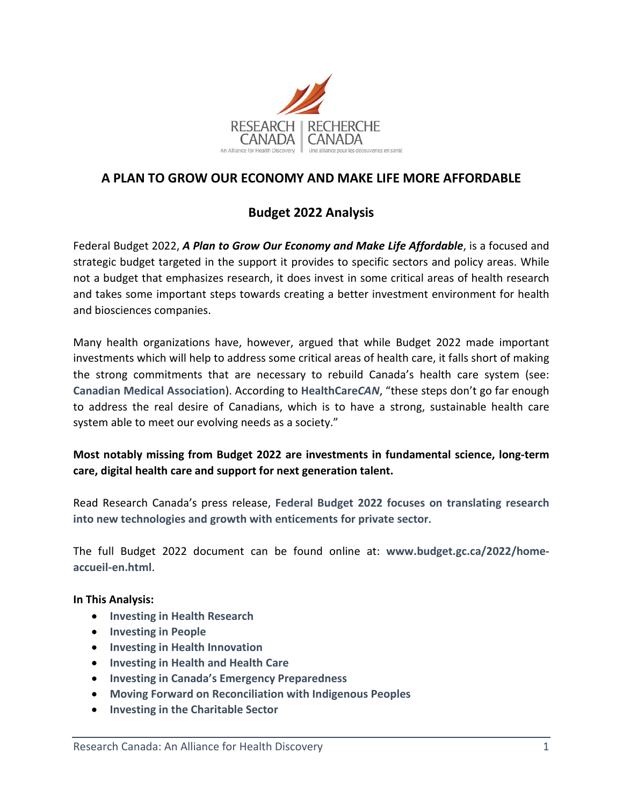

# **A PLAN TO GROW OUR ECONOMY AND MAKE LIFE MORE AFFORDABLE**

# **Budget 2022 Analysis**

Federal Budget 2022, *A Plan to Grow Our Economy and Make Life Affordable*, is a focused and strategic budget targeted in the support it provides to specific sectors and policy areas. While not a budget that emphasizes research, it does invest in some critical areas of health research and takes some important steps towards creating a better investment environment for health and biosciences companies.

Many health organizations have, however, argued that while Budget 2022 made important investments which will help to address some critical areas of health care, it falls short of making the strong commitments that are necessary to rebuild Canada's health care system (see: **[Canadian Medical Association](https://www.cma.ca/news-releases-and-statements/federal-budget-2022-steps-address-urgent-health-care-system-crisis)**). According to **[HealthCare](https://www.healthcarecan.ca/2022/04/08/healthcarecan-response-to-2022-federal-budget/)***CAN*, "these steps don't go far enough to address the real desire of Canadians, which is to have a strong, sustainable health care system able to meet our evolving needs as a society."

## **Most notably missing from Budget 2022 are investments in fundamental science, long-term care, digital health care and support for next generation talent.**

Read Research Canada's press release, **[Federal Budget 2022 focuses on translating research](https://rc-rc.ca/federal-budget-2022-focuses-on-translating-research-into-new-technologies-and-growth-with-enticements-for-private-sector/)  [into new technologies and growth with enticements for private sector](https://rc-rc.ca/federal-budget-2022-focuses-on-translating-research-into-new-technologies-and-growth-with-enticements-for-private-sector/)**.

The full Budget 2022 document can be found online at: **[www.budget.gc.ca/2022/home](http://www.budget.gc.ca/2022/home-accueil-en.html)[accueil-en.html](http://www.budget.gc.ca/2022/home-accueil-en.html)**.

## **In This Analysis:**

- **Investing [in Health Research](#page-0-0)**
- **Investing [in People](#page-3-0)**
- **Investing [in Health Innovation](#page-4-0)**
- **[Investing in Health and Health Care](#page-8-0)**
- **[Investing in Canada's Emergency Preparedness](#page-12-0)**
- **[Moving Forward on Reconciliation with Indigenous Peoples](#page-13-0)**
- <span id="page-0-0"></span>• **[Investing in the Charitable Sector](#page-15-0)**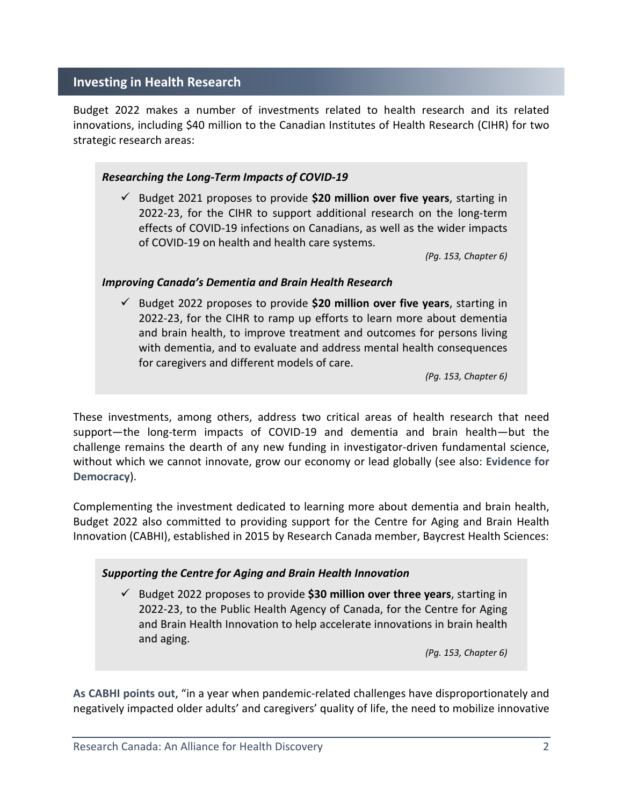## **Investing in Health Research**

Budget 2022 makes a number of investments related to health research and its related innovations, including \$40 million to the Canadian Institutes of Health Research (CIHR) for two strategic research areas:

## *Researching the Long-Term Impacts of COVID-19*

 Budget 2021 proposes to provide **\$20 million over five years**, starting in 2022-23, for the CIHR to support additional research on the long-term effects of COVID-19 infections on Canadians, as well as the wider impacts of COVID-19 on health and health care systems.

*(Pg. 153, Chapter 6)*

## *Improving Canada's Dementia and Brain Health Research*

 Budget 2022 proposes to provide **\$20 million over five years**, starting in 2022-23, for the CIHR to ramp up efforts to learn more about dementia and brain health, to improve treatment and outcomes for persons living with dementia, and to evaluate and address mental health consequences for caregivers and different models of care.

*(Pg. 153, Chapter 6)*

These investments, among others, address two critical areas of health research that need support—the long-term impacts of COVID-19 and dementia and brain health—but the challenge remains the dearth of any new funding in investigator-driven fundamental science, without which we cannot innovate, grow our economy or lead globally (see also: **[Evidence for](https://evidencefordemocracy.ca/en/content/budget-2022-investments-innovation-overlook-support-science)  [Democracy](https://evidencefordemocracy.ca/en/content/budget-2022-investments-innovation-overlook-support-science)**).

Complementing the investment dedicated to learning more about dementia and brain health, Budget 2022 also committed to providing support for the Centre for Aging and Brain Health Innovation (CABHI), established in 2015 by Research Canada member, Baycrest Health Sciences:

## *Supporting the Centre for Aging and Brain Health Innovation*

 Budget 2022 proposes to provide **\$30 million over three years**, starting in 2022-23, to the Public Health Agency of Canada, for the Centre for Aging and Brain Health Innovation to help accelerate innovations in brain health and aging.

*(Pg. 153, Chapter 6)*

**[As CABHI points out](https://www.cabhi.com/budget-2022-commits-funding-for-the-centre-for-aging-brain-health-innovation-cabhi-to-accelerate-innovations-in-aging-and-brain-health/)**, "in a year when pandemic-related challenges have disproportionately and negatively impacted older adults' and caregivers' quality of life, the need to mobilize innovative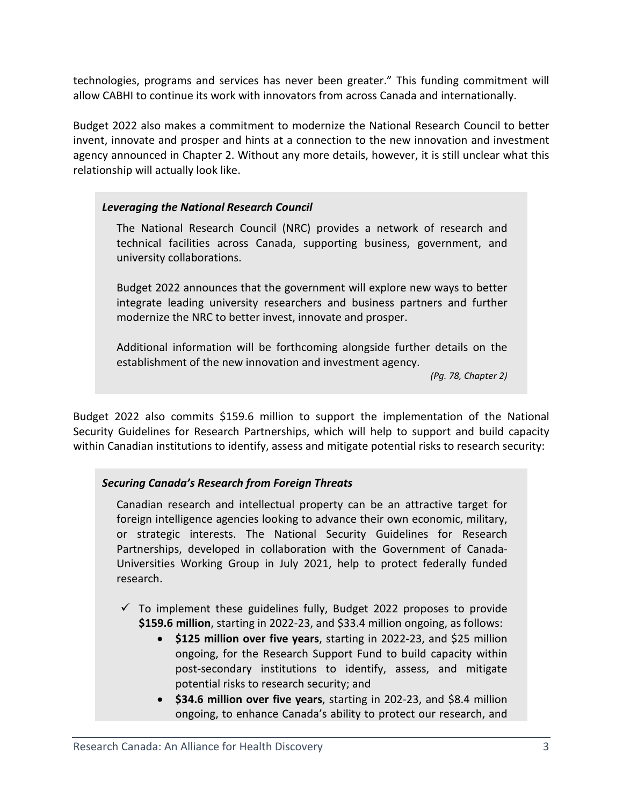technologies, programs and services has never been greater." This funding commitment will allow CABHI to continue its work with innovators from across Canada and internationally.

Budget 2022 also makes a commitment to modernize the National Research Council to better invent, innovate and prosper and hints at a connection to the new innovation and investment agency announced in Chapter 2. Without any more details, however, it is still unclear what this relationship will actually look like.

## *Leveraging the National Research Council*

The National Research Council (NRC) provides a network of research and technical facilities across Canada, supporting business, government, and university collaborations.

Budget 2022 announces that the government will explore new ways to better integrate leading university researchers and business partners and further modernize the NRC to better invest, innovate and prosper.

Additional information will be forthcoming alongside further details on the establishment of the new innovation and investment agency.

*(Pg. 78, Chapter 2)*

Budget 2022 also commits \$159.6 million to support the implementation of the National Security Guidelines for Research Partnerships, which will help to support and build capacity within Canadian institutions to identify, assess and mitigate potential risks to research security:

## *Securing Canada's Research from Foreign Threats*

Canadian research and intellectual property can be an attractive target for foreign intelligence agencies looking to advance their own economic, military, or strategic interests. The National Security Guidelines for Research Partnerships, developed in collaboration with the Government of Canada-Universities Working Group in July 2021, help to protect federally funded research.

- $\checkmark$  To implement these guidelines fully, Budget 2022 proposes to provide **\$159.6 million**, starting in 2022-23, and \$33.4 million ongoing, as follows:
	- **\$125 million over five years**, starting in 2022-23, and \$25 million ongoing, for the Research Support Fund to build capacity within post-secondary institutions to identify, assess, and mitigate potential risks to research security; and
	- **\$34.6 million over five years**, starting in 202-23, and \$8.4 million ongoing, to enhance Canada's ability to protect our research, and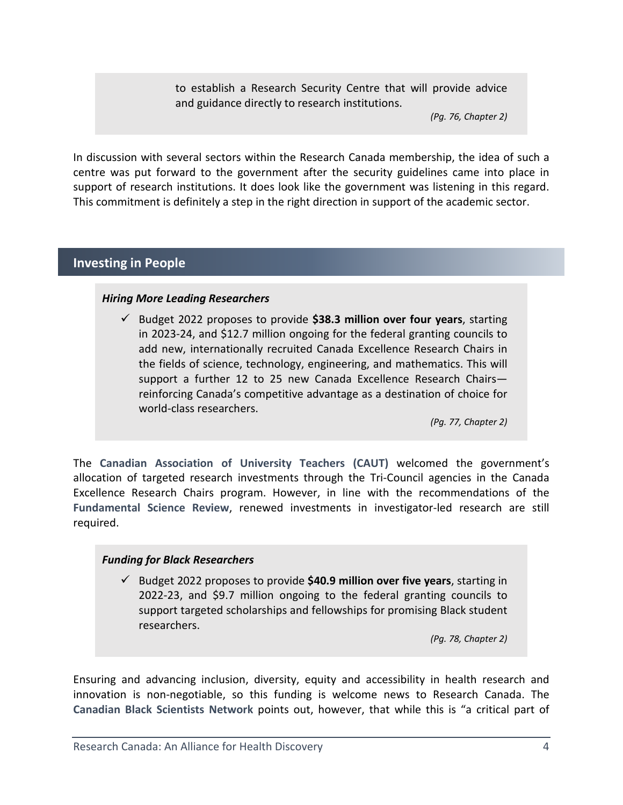to establish a Research Security Centre that will provide advice and guidance directly to research institutions.

*(Pg. 76, Chapter 2)*

In discussion with several sectors within the Research Canada membership, the idea of such a centre was put forward to the government after the security guidelines came into place in support of research institutions. It does look like the government was listening in this regard. This commitment is definitely a step in the right direction in support of the academic sector.

## <span id="page-3-0"></span>**Investing in People**

## *Hiring More Leading Researchers*

 Budget 2022 proposes to provide **\$38.3 million over four years**, starting in 2023-24, and \$12.7 million ongoing for the federal granting councils to add new, internationally recruited Canada Excellence Research Chairs in the fields of science, technology, engineering, and mathematics. This will support a further 12 to 25 new Canada Excellence Research Chairs reinforcing Canada's competitive advantage as a destination of choice for world-class researchers.

*(Pg. 77, Chapter 2)*

The **[Canadian Association of University Teachers \(CAUT\)](https://www.caut.ca/latest/2022/04/budget-2022-failing-marks-no-new-investments-post-secondary-education)** welcomed the government's allocation of targeted research investments through the Tri-Council agencies in the Canada Excellence Research Chairs program. However, in line with the recommendations of the **[Fundamental Science Review](http://www.sciencereview.ca/eic/site/059.nsf/eng/home)**, renewed investments in investigator-led research are still required.

## *Funding for Black Researchers*

 Budget 2022 proposes to provide **\$40.9 million over five years**, starting in 2022-23, and \$9.7 million ongoing to the federal granting councils to support targeted scholarships and fellowships for promising Black student researchers.

*(Pg. 78, Chapter 2)*

Ensuring and advancing inclusion, diversity, equity and accessibility in health research and innovation is non-negotiable, so this funding is welcome news to Research Canada. The **[Canadian Black Scientists Network](https://hriportal.ca/wp-content/uploads/2022/04/CBSN_Budget-Response-Statement_20April2022-FINAL.pdf)** points out, however, that while this is "a critical part of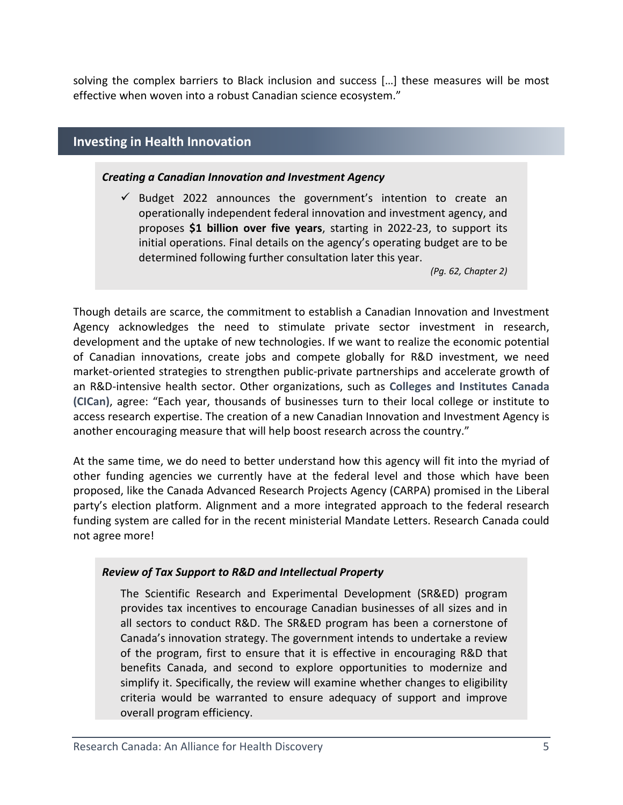<span id="page-4-0"></span>solving the complex barriers to Black inclusion and success […] these measures will be most effective when woven into a robust Canadian science ecosystem."

## **Investing in Health Innovation**

#### *Creating a Canadian Innovation and Investment Agency*

 $\checkmark$  Budget 2022 announces the government's intention to create an operationally independent federal innovation and investment agency, and proposes **\$1 billion over five years**, starting in 2022-23, to support its initial operations. Final details on the agency's operating budget are to be determined following further consultation later this year.

*(Pg. 62, Chapter 2)*

Though details are scarce, the commitment to establish a Canadian Innovation and Investment Agency acknowledges the need to stimulate private sector investment in research, development and the uptake of new technologies. If we want to realize the economic potential of Canadian innovations, create jobs and compete globally for R&D investment, we need market-oriented strategies to strengthen public-private partnerships and accelerate growth of an R&D-intensive health sector. Other organizations, such as **[Colleges and Institutes Canada](https://www.collegesinstitutes.ca/news-centre/news-release/colleges-and-institutes-react-to-budget-2022/)  [\(CICan\)](https://www.collegesinstitutes.ca/news-centre/news-release/colleges-and-institutes-react-to-budget-2022/)**, agree: "Each year, thousands of businesses turn to their local college or institute to access research expertise. The creation of a new Canadian Innovation and Investment Agency is another encouraging measure that will help boost research across the country."

At the same time, we do need to better understand how this agency will fit into the myriad of other funding agencies we currently have at the federal level and those which have been proposed, like the Canada Advanced Research Projects Agency (CARPA) promised in the Liberal party's election platform. Alignment and a more integrated approach to the federal research funding system are called for in the recent ministerial Mandate Letters. Research Canada could not agree more!

## *Review of Tax Support to R&D and Intellectual Property*

The Scientific Research and Experimental Development (SR&ED) program provides tax incentives to encourage Canadian businesses of all sizes and in all sectors to conduct R&D. The SR&ED program has been a cornerstone of Canada's innovation strategy. The government intends to undertake a review of the program, first to ensure that it is effective in encouraging R&D that benefits Canada, and second to explore opportunities to modernize and simplify it. Specifically, the review will examine whether changes to eligibility criteria would be warranted to ensure adequacy of support and improve overall program efficiency.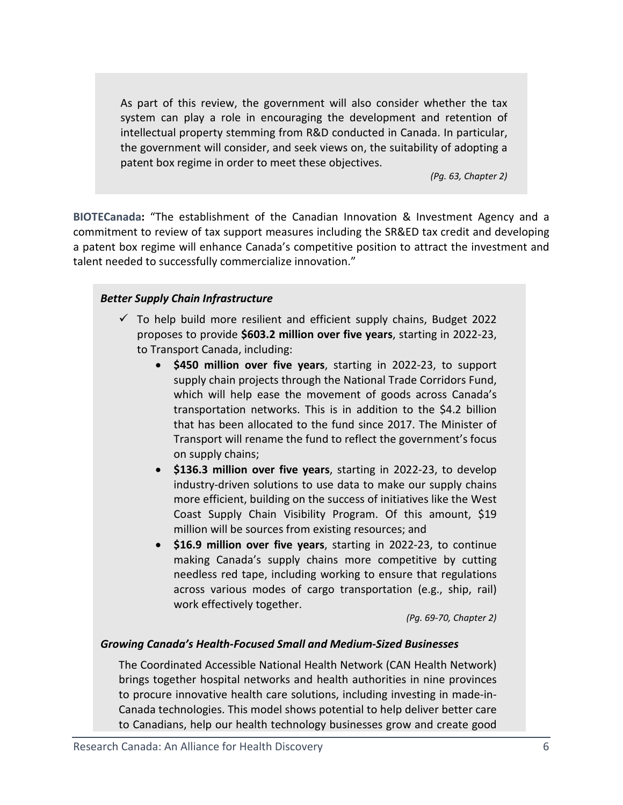As part of this review, the government will also consider whether the tax system can play a role in encouraging the development and retention of intellectual property stemming from R&D conducted in Canada. In particular, the government will consider, and seek views on, the suitability of adopting a patent box regime in order to meet these objectives.

*(Pg. 63, Chapter 2)*

**[BIOTECanada:](https://www.biotech.ca/news/biotecanada-welcomes-federal-budgets-commitment-to-canadian-biotech-industry/)** "The establishment of the Canadian Innovation & Investment Agency and a commitment to review of tax support measures including the SR&ED tax credit and developing a patent box regime will enhance Canada's competitive position to attract the investment and talent needed to successfully commercialize innovation."

## *Better Supply Chain Infrastructure*

- $\checkmark$  To help build more resilient and efficient supply chains, Budget 2022 proposes to provide **\$603.2 million over five years**, starting in 2022-23, to Transport Canada, including:
	- **\$450 million over five years**, starting in 2022-23, to support supply chain projects through the National Trade Corridors Fund, which will help ease the movement of goods across Canada's transportation networks. This is in addition to the \$4.2 billion that has been allocated to the fund since 2017. The Minister of Transport will rename the fund to reflect the government's focus on supply chains;
	- **\$136.3 million over five years**, starting in 2022-23, to develop industry-driven solutions to use data to make our supply chains more efficient, building on the success of initiatives like the West Coast Supply Chain Visibility Program. Of this amount, \$19 million will be sources from existing resources; and
	- **\$16.9 million over five years**, starting in 2022-23, to continue making Canada's supply chains more competitive by cutting needless red tape, including working to ensure that regulations across various modes of cargo transportation (e.g., ship, rail) work effectively together.

*(Pg. 69-70, Chapter 2)*

## *Growing Canada's Health-Focused Small and Medium-Sized Businesses*

The Coordinated Accessible National Health Network (CAN Health Network) brings together hospital networks and health authorities in nine provinces to procure innovative health care solutions, including investing in made-in-Canada technologies. This model shows potential to help deliver better care to Canadians, help our health technology businesses grow and create good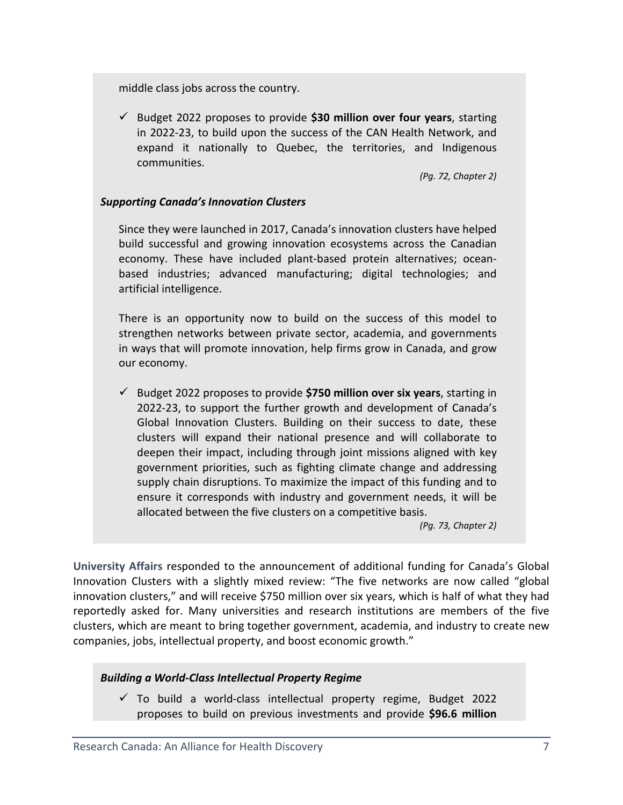middle class jobs across the country.

 Budget 2022 proposes to provide **\$30 million over four years**, starting in 2022-23, to build upon the success of the CAN Health Network, and expand it nationally to Quebec, the territories, and Indigenous communities.

*(Pg. 72, Chapter 2)*

#### *Supporting Canada's Innovation Clusters*

Since they were launched in 2017, Canada's innovation clusters have helped build successful and growing innovation ecosystems across the Canadian economy. These have included plant-based protein alternatives; oceanbased industries; advanced manufacturing; digital technologies; and artificial intelligence.

There is an opportunity now to build on the success of this model to strengthen networks between private sector, academia, and governments in ways that will promote innovation, help firms grow in Canada, and grow our economy.

 Budget 2022 proposes to provide **\$750 million over six years**, starting in 2022-23, to support the further growth and development of Canada's Global Innovation Clusters. Building on their success to date, these clusters will expand their national presence and will collaborate to deepen their impact, including through joint missions aligned with key government priorities, such as fighting climate change and addressing supply chain disruptions. To maximize the impact of this funding and to ensure it corresponds with industry and government needs, it will be allocated between the five clusters on a competitive basis.

*(Pg. 73, Chapter 2)*

**[University Affairs](https://www.universityaffairs.ca/news/news-article/federal-budget-prioritizes-innovation-but-the-postsecondary-sectors-role-is-unclear/)** responded to the announcement of additional funding for Canada's Global Innovation Clusters with a slightly mixed review: "The five networks are now called "global innovation clusters," and will receive \$750 million over six years, which is half of what they had reportedly asked for. Many universities and research institutions are members of the five clusters, which are meant to bring together government, academia, and industry to create new companies, jobs, intellectual property, and boost economic growth."

#### *Building a World-Class Intellectual Property Regime*

 $\checkmark$  To build a world-class intellectual property regime, Budget 2022 proposes to build on previous investments and provide **\$96.6 million**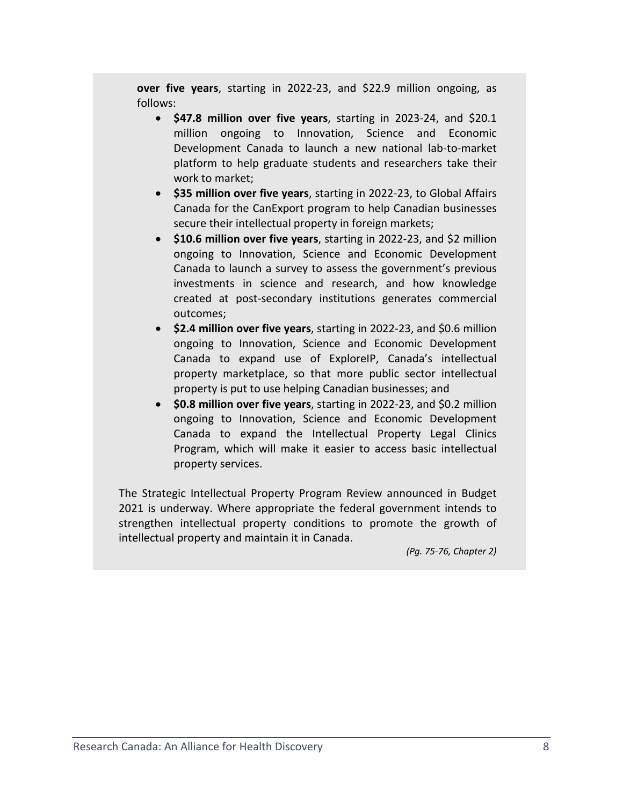**over five years**, starting in 2022-23, and \$22.9 million ongoing, as follows:

- **\$47.8 million over five years**, starting in 2023-24, and \$20.1 million ongoing to Innovation, Science and Economic Development Canada to launch a new national lab-to-market platform to help graduate students and researchers take their work to market;
- **\$35 million over five years**, starting in 2022-23, to Global Affairs Canada for the CanExport program to help Canadian businesses secure their intellectual property in foreign markets;
- **\$10.6 million over five years**, starting in 2022-23, and \$2 million ongoing to Innovation, Science and Economic Development Canada to launch a survey to assess the government's previous investments in science and research, and how knowledge created at post-secondary institutions generates commercial outcomes;
- **\$2.4 million over five years**, starting in 2022-23, and \$0.6 million ongoing to Innovation, Science and Economic Development Canada to expand use of ExploreIP, Canada's intellectual property marketplace, so that more public sector intellectual property is put to use helping Canadian businesses; and
- **\$0.8 million over five years**, starting in 2022-23, and \$0.2 million ongoing to Innovation, Science and Economic Development Canada to expand the Intellectual Property Legal Clinics Program, which will make it easier to access basic intellectual property services.

The Strategic Intellectual Property Program Review announced in Budget 2021 is underway. Where appropriate the federal government intends to strengthen intellectual property conditions to promote the growth of intellectual property and maintain it in Canada.

*(Pg. 75-76, Chapter 2)*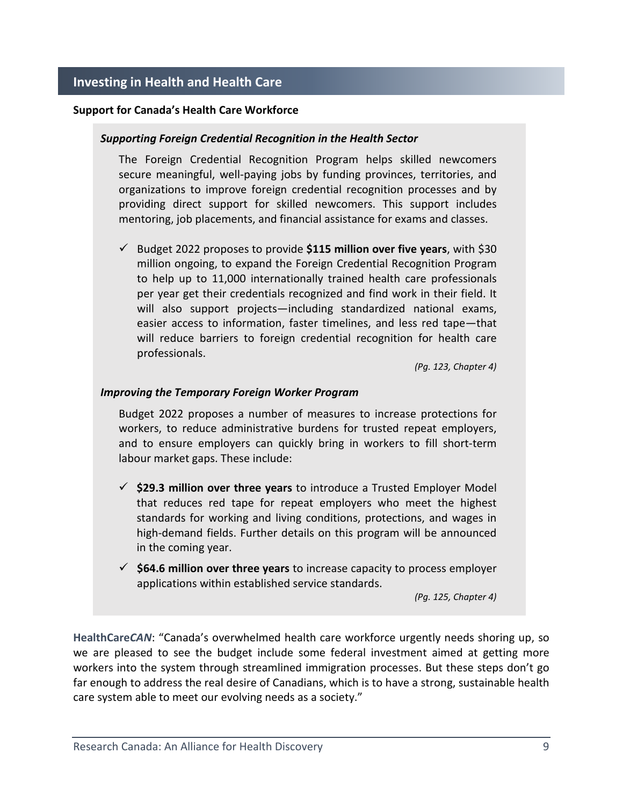#### <span id="page-8-0"></span>**Support for Canada's Health Care Workforce**

#### *Supporting Foreign Credential Recognition in the Health Sector*

The Foreign Credential Recognition Program helps skilled newcomers secure meaningful, well-paying jobs by funding provinces, territories, and organizations to improve foreign credential recognition processes and by providing direct support for skilled newcomers. This support includes mentoring, job placements, and financial assistance for exams and classes.

 Budget 2022 proposes to provide **\$115 million over five years**, with \$30 million ongoing, to expand the Foreign Credential Recognition Program to help up to 11,000 internationally trained health care professionals per year get their credentials recognized and find work in their field. It will also support projects—including standardized national exams, easier access to information, faster timelines, and less red tape—that will reduce barriers to foreign credential recognition for health care professionals.

*(Pg. 123, Chapter 4)*

#### *Improving the Temporary Foreign Worker Program*

Budget 2022 proposes a number of measures to increase protections for workers, to reduce administrative burdens for trusted repeat employers, and to ensure employers can quickly bring in workers to fill short-term labour market gaps. These include:

- **\$29.3 million over three years** to introduce a Trusted Employer Model that reduces red tape for repeat employers who meet the highest standards for working and living conditions, protections, and wages in high-demand fields. Further details on this program will be announced in the coming year.
- **\$64.6 million over three years** to increase capacity to process employer applications within established service standards.

*(Pg. 125, Chapter 4)*

**[HealthCare](https://www.healthcarecan.ca/2022/04/08/healthcarecan-response-to-2022-federal-budget/)***CAN*: "Canada's overwhelmed health care workforce urgently needs shoring up, so we are pleased to see the budget include some federal investment aimed at getting more workers into the system through streamlined immigration processes. But these steps don't go far enough to address the real desire of Canadians, which is to have a strong, sustainable health care system able to meet our evolving needs as a society."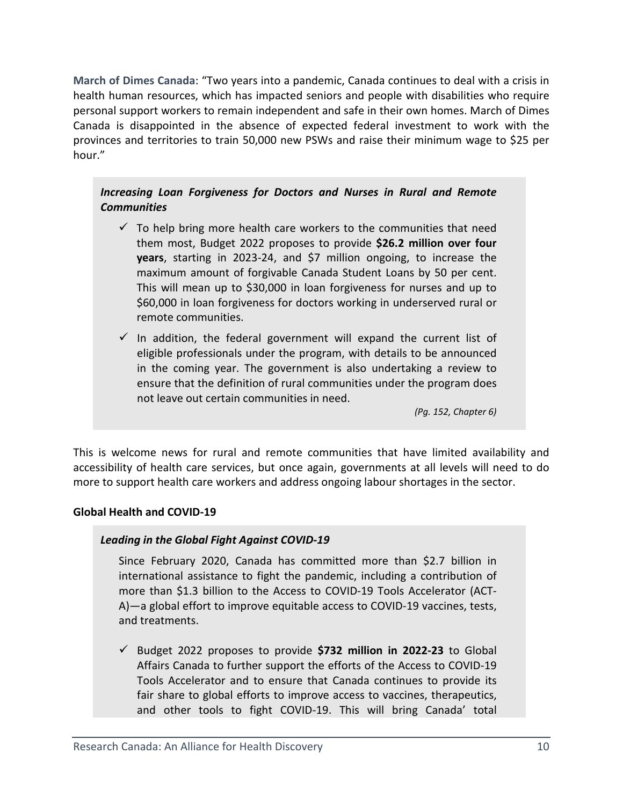**[March of Dimes Canada](https://www.marchofdimes.ca/en-ca/aboutus/newsroom/whatsnew/Pages/Federal-Budget-2022.aspx)**: "Two years into a pandemic, Canada continues to deal with a crisis in health human resources, which has impacted seniors and people with disabilities who require personal support workers to remain independent and safe in their own homes. March of Dimes Canada is disappointed in the absence of expected federal investment to work with the provinces and territories to train 50,000 new PSWs and raise their minimum wage to \$25 per hour."

## *Increasing Loan Forgiveness for Doctors and Nurses in Rural and Remote Communities*

- $\checkmark$  To help bring more health care workers to the communities that need them most, Budget 2022 proposes to provide **\$26.2 million over four years**, starting in 2023-24, and \$7 million ongoing, to increase the maximum amount of forgivable Canada Student Loans by 50 per cent. This will mean up to \$30,000 in loan forgiveness for nurses and up to \$60,000 in loan forgiveness for doctors working in underserved rural or remote communities.
- $\checkmark$  In addition, the federal government will expand the current list of eligible professionals under the program, with details to be announced in the coming year. The government is also undertaking a review to ensure that the definition of rural communities under the program does not leave out certain communities in need.

*(Pg. 152, Chapter 6)*

This is welcome news for rural and remote communities that have limited availability and accessibility of health care services, but once again, governments at all levels will need to do more to support health care workers and address ongoing labour shortages in the sector.

## **Global Health and COVID-19**

## *Leading in the Global Fight Against COVID-19*

Since February 2020, Canada has committed more than \$2.7 billion in international assistance to fight the pandemic, including a contribution of more than \$1.3 billion to the Access to COVID-19 Tools Accelerator (ACT-A)—a global effort to improve equitable access to COVID-19 vaccines, tests, and treatments.

 Budget 2022 proposes to provide **\$732 million in 2022-23** to Global Affairs Canada to further support the efforts of the Access to COVID-19 Tools Accelerator and to ensure that Canada continues to provide its fair share to global efforts to improve access to vaccines, therapeutics, and other tools to fight COVID-19. This will bring Canada' total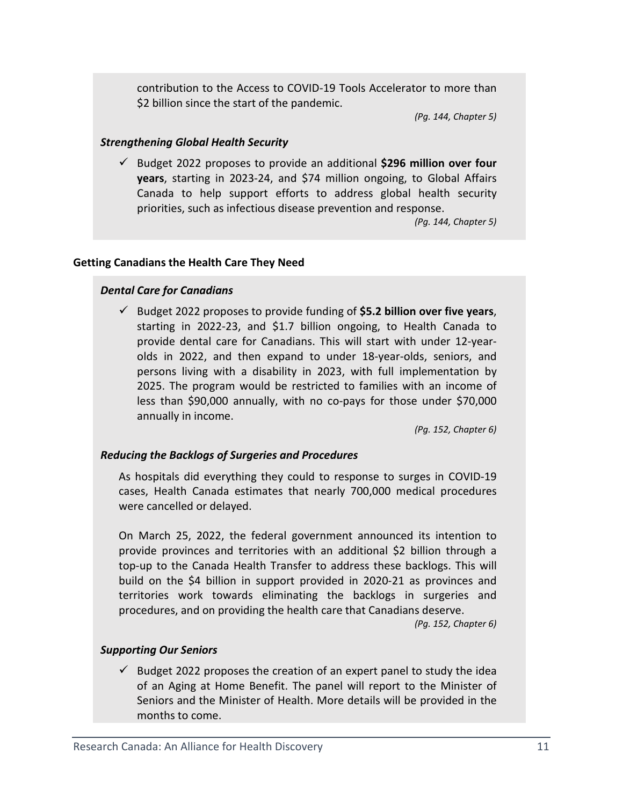contribution to the Access to COVID-19 Tools Accelerator to more than \$2 billion since the start of the pandemic.

*(Pg. 144, Chapter 5)*

### *Strengthening Global Health Security*

 Budget 2022 proposes to provide an additional **\$296 million over four years**, starting in 2023-24, and \$74 million ongoing, to Global Affairs Canada to help support efforts to address global health security priorities, such as infectious disease prevention and response.

*(Pg. 144, Chapter 5)*

### **Getting Canadians the Health Care They Need**

## *Dental Care for Canadians*

 Budget 2022 proposes to provide funding of **\$5.2 billion over five years**, starting in 2022-23, and \$1.7 billion ongoing, to Health Canada to provide dental care for Canadians. This will start with under 12-yearolds in 2022, and then expand to under 18-year-olds, seniors, and persons living with a disability in 2023, with full implementation by 2025. The program would be restricted to families with an income of less than \$90,000 annually, with no co-pays for those under \$70,000 annually in income.

*(Pg. 152, Chapter 6)*

#### *Reducing the Backlogs of Surgeries and Procedures*

As hospitals did everything they could to response to surges in COVID-19 cases, Health Canada estimates that nearly 700,000 medical procedures were cancelled or delayed.

On March 25, 2022, the federal government announced its intention to provide provinces and territories with an additional \$2 billion through a top-up to the Canada Health Transfer to address these backlogs. This will build on the \$4 billion in support provided in 2020-21 as provinces and territories work towards eliminating the backlogs in surgeries and procedures, and on providing the health care that Canadians deserve.

*(Pg. 152, Chapter 6)*

#### *Supporting Our Seniors*

 $\checkmark$  Budget 2022 proposes the creation of an expert panel to study the idea of an Aging at Home Benefit. The panel will report to the Minister of Seniors and the Minister of Health. More details will be provided in the months to come.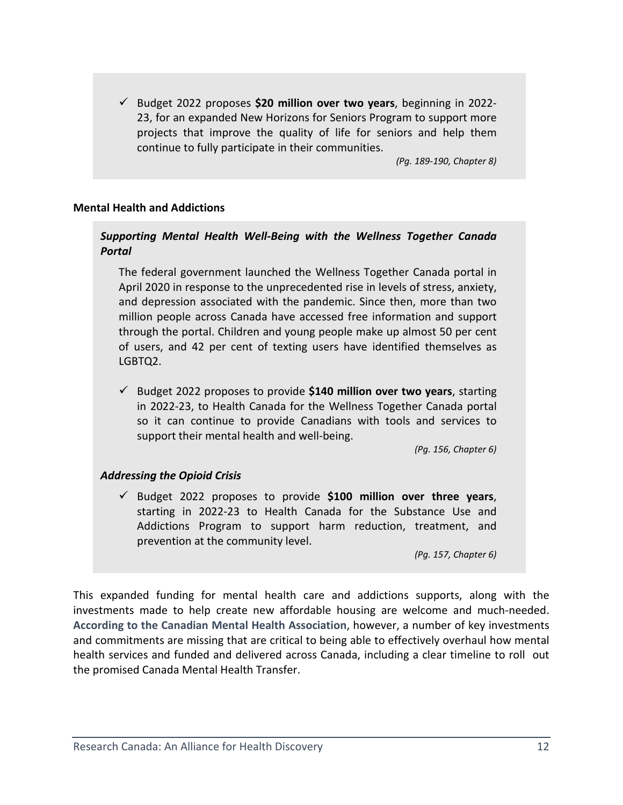Budget 2022 proposes **\$20 million over two years**, beginning in 2022- 23, for an expanded New Horizons for Seniors Program to support more projects that improve the quality of life for seniors and help them continue to fully participate in their communities.

*(Pg. 189-190, Chapter 8)*

### **Mental Health and Addictions**

## *Supporting Mental Health Well-Being with the Wellness Together Canada Portal*

The federal government launched the Wellness Together Canada portal in April 2020 in response to the unprecedented rise in levels of stress, anxiety, and depression associated with the pandemic. Since then, more than two million people across Canada have accessed free information and support through the portal. Children and young people make up almost 50 per cent of users, and 42 per cent of texting users have identified themselves as LGBTQ2.

 Budget 2022 proposes to provide **\$140 million over two years**, starting in 2022-23, to Health Canada for the Wellness Together Canada portal so it can continue to provide Canadians with tools and services to support their mental health and well-being.

*(Pg. 156, Chapter 6)*

### *Addressing the Opioid Crisis*

 Budget 2022 proposes to provide **\$100 million over three years**, starting in 2022-23 to Health Canada for the Substance Use and Addictions Program to support harm reduction, treatment, and prevention at the community level.

*(Pg. 157, Chapter 6)*

This expanded funding for mental health care and addictions supports, along with the investments made to help create new affordable housing are welcome and much-needed. **[According to the Canadian Mental Health Association](https://cmha.ca/cmha-welcomes-investments-in-social-determinants-of-health-in-budget-2022/)**, however, a number of key investments and commitments are missing that are critical to being able to effectively overhaul how mental health services and funded and delivered across Canada, including a clear timeline to roll out the promised Canada Mental Health Transfer.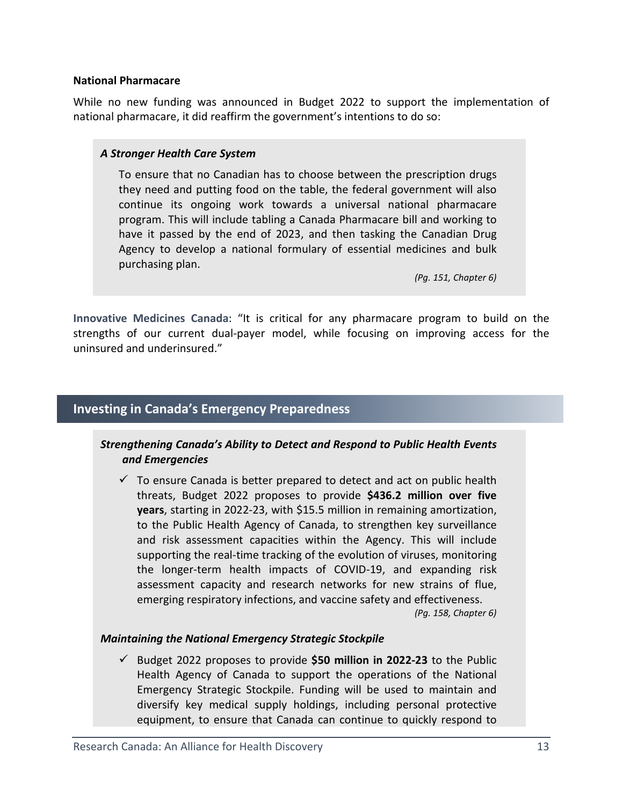#### <span id="page-12-0"></span>**National Pharmacare**

While no new funding was announced in Budget 2022 to support the implementation of national pharmacare, it did reaffirm the government's intentions to do so:

### *A Stronger Health Care System*

To ensure that no Canadian has to choose between the prescription drugs they need and putting food on the table, the federal government will also continue its ongoing work towards a universal national pharmacare program. This will include tabling a Canada Pharmacare bill and working to have it passed by the end of 2023, and then tasking the Canadian Drug Agency to develop a national formulary of essential medicines and bulk purchasing plan.

*(Pg. 151, Chapter 6)*

**[Innovative Medicines Canada](http://innovativemedicines.ca/declaration-de-medicaments-novateurs-canada-sur-le-budget-federal-2022-2/)**: "It is critical for any pharmacare program to build on the strengths of our current dual-payer model, while focusing on improving access for the uninsured and underinsured."

## **Investing in Canada's Emergency Preparedness**

## *Strengthening Canada's Ability to Detect and Respond to Public Health Events and Emergencies*

 $\checkmark$  To ensure Canada is better prepared to detect and act on public health threats, Budget 2022 proposes to provide **\$436.2 million over five years**, starting in 2022-23, with \$15.5 million in remaining amortization, to the Public Health Agency of Canada, to strengthen key surveillance and risk assessment capacities within the Agency. This will include supporting the real-time tracking of the evolution of viruses, monitoring the longer-term health impacts of COVID-19, and expanding risk assessment capacity and research networks for new strains of flue, emerging respiratory infections, and vaccine safety and effectiveness. *(Pg. 158, Chapter 6)*

## *Maintaining the National Emergency Strategic Stockpile*

 Budget 2022 proposes to provide **\$50 million in 2022-23** to the Public Health Agency of Canada to support the operations of the National Emergency Strategic Stockpile. Funding will be used to maintain and diversify key medical supply holdings, including personal protective equipment, to ensure that Canada can continue to quickly respond to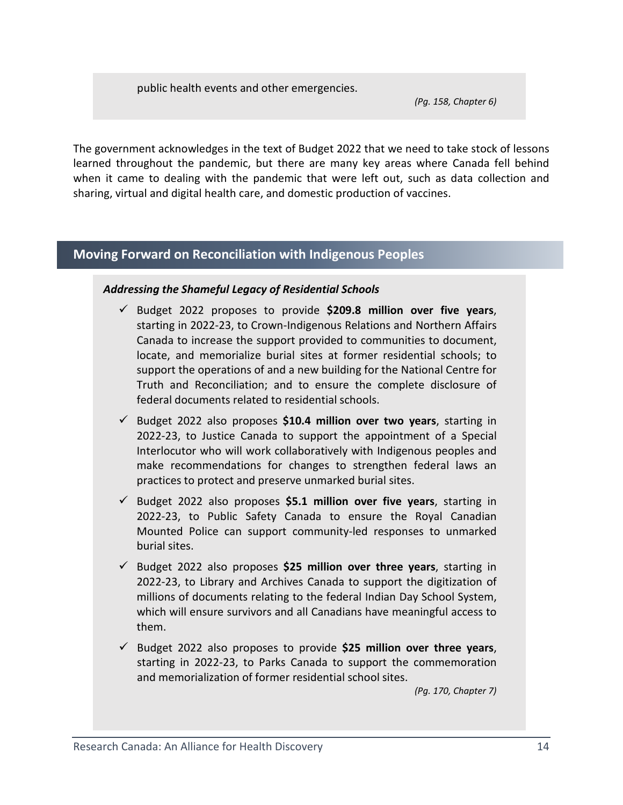public health events and other emergencies.

*(Pg. 158, Chapter 6)*

The government acknowledges in the text of Budget 2022 that we need to take stock of lessons learned throughout the pandemic, but there are many key areas where Canada fell behind when it came to dealing with the pandemic that were left out, such as data collection and sharing, virtual and digital health care, and domestic production of vaccines.

# <span id="page-13-0"></span>**Moving Forward on Reconciliation with Indigenous Peoples**

## *Addressing the Shameful Legacy of Residential Schools*

- Budget 2022 proposes to provide **\$209.8 million over five years**, starting in 2022-23, to Crown-Indigenous Relations and Northern Affairs Canada to increase the support provided to communities to document, locate, and memorialize burial sites at former residential schools; to support the operations of and a new building for the National Centre for Truth and Reconciliation; and to ensure the complete disclosure of federal documents related to residential schools.
- Budget 2022 also proposes **\$10.4 million over two years**, starting in 2022-23, to Justice Canada to support the appointment of a Special Interlocutor who will work collaboratively with Indigenous peoples and make recommendations for changes to strengthen federal laws an practices to protect and preserve unmarked burial sites.
- Budget 2022 also proposes **\$5.1 million over five years**, starting in 2022-23, to Public Safety Canada to ensure the Royal Canadian Mounted Police can support community-led responses to unmarked burial sites.
- Budget 2022 also proposes **\$25 million over three years**, starting in 2022-23, to Library and Archives Canada to support the digitization of millions of documents relating to the federal Indian Day School System, which will ensure survivors and all Canadians have meaningful access to them.
- Budget 2022 also proposes to provide **\$25 million over three years**, starting in 2022-23, to Parks Canada to support the commemoration and memorialization of former residential school sites.

*(Pg. 170, Chapter 7)*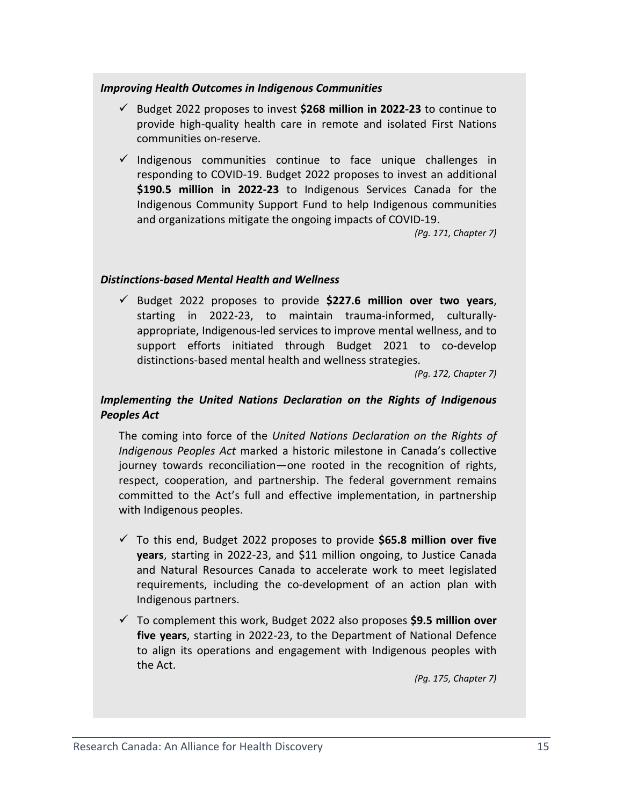### *Improving Health Outcomes in Indigenous Communities*

- Budget 2022 proposes to invest **\$268 million in 2022-23** to continue to provide high-quality health care in remote and isolated First Nations communities on-reserve.
- $\checkmark$  Indigenous communities continue to face unique challenges in responding to COVID-19. Budget 2022 proposes to invest an additional **\$190.5 million in 2022-23** to Indigenous Services Canada for the Indigenous Community Support Fund to help Indigenous communities and organizations mitigate the ongoing impacts of COVID-19.

*(Pg. 171, Chapter 7)*

## *Distinctions-based Mental Health and Wellness*

 Budget 2022 proposes to provide **\$227.6 million over two years**, starting in 2022-23, to maintain trauma-informed, culturallyappropriate, Indigenous-led services to improve mental wellness, and to support efforts initiated through Budget 2021 to co-develop distinctions-based mental health and wellness strategies.

*(Pg. 172, Chapter 7)*

## *Implementing the United Nations Declaration on the Rights of Indigenous Peoples Act*

The coming into force of the *United Nations Declaration on the Rights of Indigenous Peoples Act* marked a historic milestone in Canada's collective journey towards reconciliation—one rooted in the recognition of rights, respect, cooperation, and partnership. The federal government remains committed to the Act's full and effective implementation, in partnership with Indigenous peoples.

- To this end, Budget 2022 proposes to provide **\$65.8 million over five years**, starting in 2022-23, and \$11 million ongoing, to Justice Canada and Natural Resources Canada to accelerate work to meet legislated requirements, including the co-development of an action plan with Indigenous partners.
- To complement this work, Budget 2022 also proposes **\$9.5 million over five years**, starting in 2022-23, to the Department of National Defence to align its operations and engagement with Indigenous peoples with the Act.

*(Pg. 175, Chapter 7)*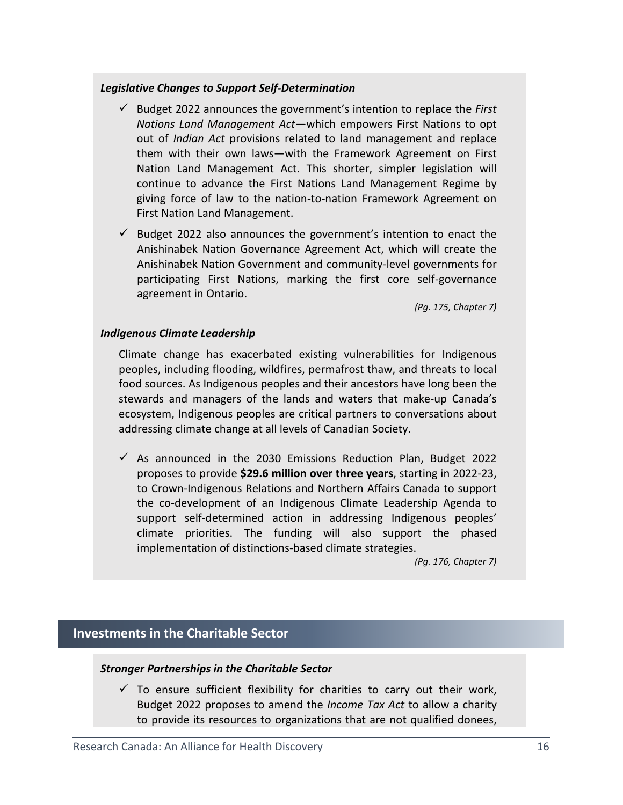## *Legislative Changes to Support Self-Determination*

- Budget 2022 announces the government's intention to replace the *First Nations Land Management Act*—which empowers First Nations to opt out of *Indian Act* provisions related to land management and replace them with their own laws—with the Framework Agreement on First Nation Land Management Act. This shorter, simpler legislation will continue to advance the First Nations Land Management Regime by giving force of law to the nation-to-nation Framework Agreement on First Nation Land Management.
- $\checkmark$  Budget 2022 also announces the government's intention to enact the Anishinabek Nation Governance Agreement Act, which will create the Anishinabek Nation Government and community-level governments for participating First Nations, marking the first core self-governance agreement in Ontario.

*(Pg. 175, Chapter 7)*

### *Indigenous Climate Leadership*

Climate change has exacerbated existing vulnerabilities for Indigenous peoples, including flooding, wildfires, permafrost thaw, and threats to local food sources. As Indigenous peoples and their ancestors have long been the stewards and managers of the lands and waters that make-up Canada's ecosystem, Indigenous peoples are critical partners to conversations about addressing climate change at all levels of Canadian Society.

 $\checkmark$  As announced in the 2030 Emissions Reduction Plan, Budget 2022 proposes to provide **\$29.6 million over three years**, starting in 2022-23, to Crown-Indigenous Relations and Northern Affairs Canada to support the co-development of an Indigenous Climate Leadership Agenda to support self-determined action in addressing Indigenous peoples' climate priorities. The funding will also support the phased implementation of distinctions-based climate strategies.

*(Pg. 176, Chapter 7)*

## <span id="page-15-0"></span>**Investments in the Charitable Sector**

#### *Stronger Partnerships in the Charitable Sector*

 $\checkmark$  To ensure sufficient flexibility for charities to carry out their work, Budget 2022 proposes to amend the *Income Tax Act* to allow a charity to provide its resources to organizations that are not qualified donees,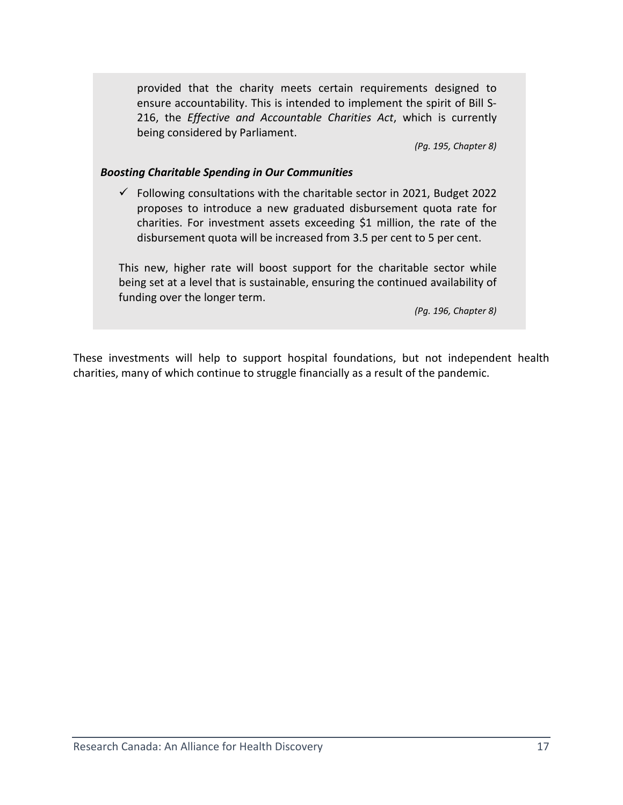provided that the charity meets certain requirements designed to ensure accountability. This is intended to implement the spirit of Bill S-216, the *Effective and Accountable Charities Act*, which is currently being considered by Parliament.

*(Pg. 195, Chapter 8)*

## *Boosting Charitable Spending in Our Communities*

 $\checkmark$  Following consultations with the charitable sector in 2021, Budget 2022 proposes to introduce a new graduated disbursement quota rate for charities. For investment assets exceeding \$1 million, the rate of the disbursement quota will be increased from 3.5 per cent to 5 per cent.

This new, higher rate will boost support for the charitable sector while being set at a level that is sustainable, ensuring the continued availability of funding over the longer term.

*(Pg. 196, Chapter 8)*

These investments will help to support hospital foundations, but not independent health charities, many of which continue to struggle financially as a result of the pandemic.